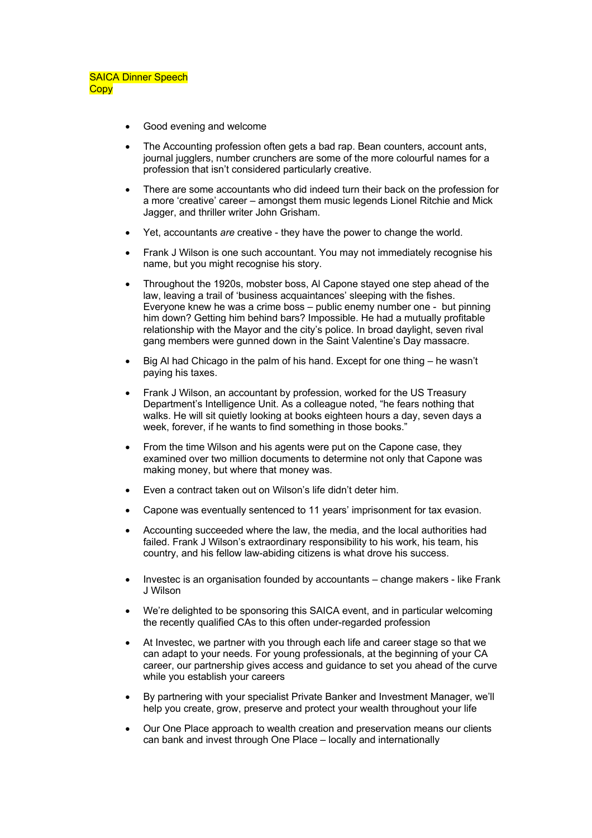- Good evening and welcome
- The Accounting profession often gets a bad rap. Bean counters, account ants, journal jugglers, number crunchers are some of the more colourful names for a profession that isn't considered particularly creative.
- There are some accountants who did indeed turn their back on the profession for a more 'creative' career – amongst them music legends Lionel Ritchie and Mick Jagger, and thriller writer John Grisham.
- Yet, accountants *are* creative they have the power to change the world.
- Frank J Wilson is one such accountant. You may not immediately recognise his name, but you might recognise his story.
- Throughout the 1920s, mobster boss, Al Capone stayed one step ahead of the law, leaving a trail of 'business acquaintances' sleeping with the fishes. Everyone knew he was a crime boss – public enemy number one - but pinning him down? Getting him behind bars? Impossible. He had a mutually profitable relationship with the Mayor and the city's police. In broad daylight, seven rival gang members were gunned down in the Saint Valentine's Day massacre.
- Big Al had Chicago in the palm of his hand. Except for one thing he wasn't paying his taxes.
- Frank J Wilson, an accountant by profession, worked for the US Treasury Department's Intelligence Unit. As a colleague noted, "he fears nothing that walks. He will sit quietly looking at books eighteen hours a day, seven days a week, forever, if he wants to find something in those books."
- From the time Wilson and his agents were put on the Capone case, they examined over two million documents to determine not only that Capone was making money, but where that money was.
- Even a contract taken out on Wilson's life didn't deter him.
- Capone was eventually sentenced to 11 years' imprisonment for tax evasion.
- Accounting succeeded where the law, the media, and the local authorities had failed. Frank J Wilson's extraordinary responsibility to his work, his team, his country, and his fellow law-abiding citizens is what drove his success.
- Investec is an organisation founded by accountants change makers like Frank J Wilson
- We're delighted to be sponsoring this SAICA event, and in particular welcoming the recently qualified CAs to this often under-regarded profession
- At Investec, we partner with you through each life and career stage so that we can adapt to your needs. For young professionals, at the beginning of your CA career, our partnership gives access and guidance to set you ahead of the curve while you establish your careers
- By partnering with your specialist Private Banker and Investment Manager, we'll help you create, grow, preserve and protect your wealth throughout your life
- Our One Place approach to wealth creation and preservation means our clients can bank and invest through One Place – locally and internationally